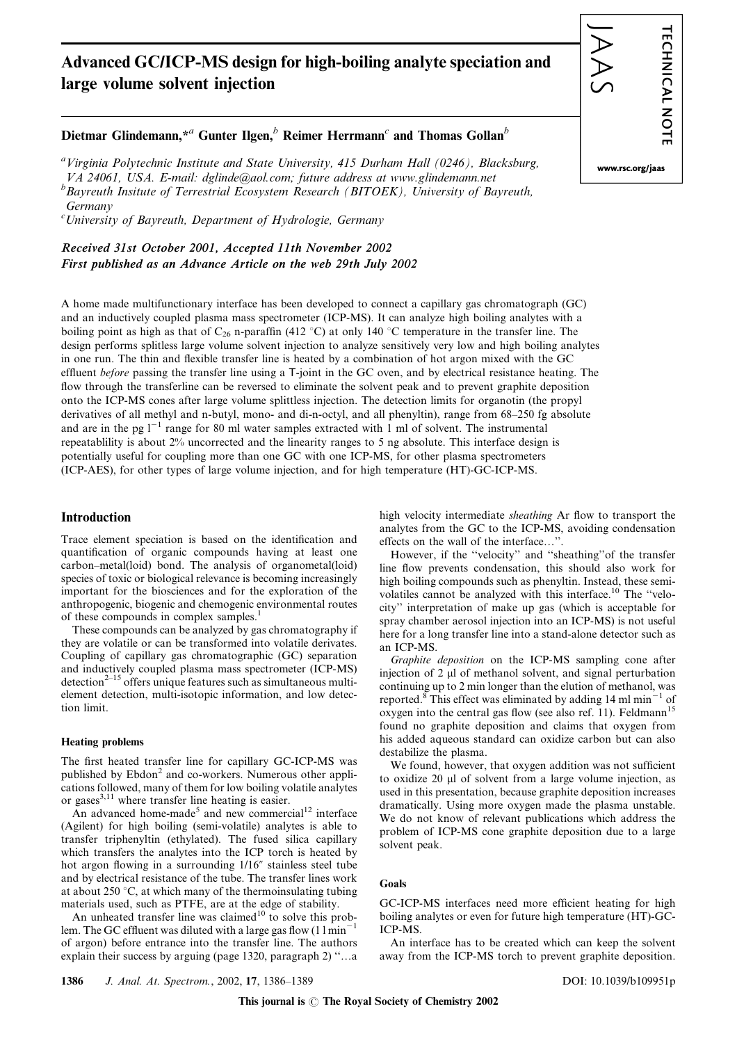# Advanced GC/ICP-MS design for high-boiling analyte speciation and large volume solvent injection



# Dietmar Glindemann,\*<sup>a</sup> Gunter Ilgen, $\frac{b}{b}$  Reimer Herrmann<sup>c</sup> and Thomas Gollan<sup>b</sup>

<sup>a</sup>Virginia Polytechnic Institute and State University, 415 Durham Hall (0246), Blacksburg, VA 24061, USA. E-mail: dglinde@aol.com; future address at www.glindemann.net  $^{b}$ Bayreuth Insitute of Terrestrial Ecosystem Research (BITOEK), University of Bayreuth,

Germany

c University of Bayreuth, Department of Hydrologie, Germany

Received 31st October 2001, Accepted 11th November 2002 First published as an Advance Article on the web 29th July 2002

A home made multifunctionary interface has been developed to connect a capillary gas chromatograph (GC) and an inductively coupled plasma mass spectrometer (ICP-MS). It can analyze high boiling analytes with a boiling point as high as that of  $C_{26}$  n-paraffin (412 °C) at only 140 °C temperature in the transfer line. The design performs splitless large volume solvent injection to analyze sensitively very low and high boiling analytes in one run. The thin and flexible transfer line is heated by a combination of hot argon mixed with the GC effluent before passing the transfer line using a T-joint in the GC oven, and by electrical resistance heating. The flow through the transferline can be reversed to eliminate the solvent peak and to prevent graphite deposition onto the ICP-MS cones after large volume splittless injection. The detection limits for organotin (the propyl derivatives of all methyl and n-butyl, mono- and di-n-octyl, and all phenyltin), range from 68–250 fg absolute and are in the pg  $1^{-1}$  range for 80 ml water samples extracted with 1 ml of solvent. The instrumental repeatablility is about 2% uncorrected and the linearity ranges to 5 ng absolute. This interface design is potentially useful for coupling more than one GC with one ICP-MS, for other plasma spectrometers (ICP-AES), for other types of large volume injection, and for high temperature (HT)-GC-ICP-MS.

# Introduction

Trace element speciation is based on the identification and quantification of organic compounds having at least one carbon–metal(loid) bond. The analysis of organometal(loid) species of toxic or biological relevance is becoming increasingly important for the biosciences and for the exploration of the anthropogenic, biogenic and chemogenic environmental routes of these compounds in complex samples.<sup>1</sup>

These compounds can be analyzed by gas chromatography if they are volatile or can be transformed into volatile derivates. Coupling of capillary gas chromatographic (GC) separation and inductively coupled plasma mass spectrometer (ICP-MS) detection<sup> $2-15$ </sup> offers unique features such as simultaneous multielement detection, multi-isotopic information, and low detection limit.

#### Heating problems

The first heated transfer line for capillary GC-ICP-MS was published by Ebdon<sup>2</sup> and co-workers. Numerous other applications followed, many of them for low boiling volatile analytes or gases $^{3,11}$  where transfer line heating is easier.

An advanced home-made<sup>5</sup> and new commercial<sup>12</sup> interface (Agilent) for high boiling (semi-volatile) analytes is able to transfer triphenyltin (ethylated). The fused silica capillary which transfers the analytes into the ICP torch is heated by hot argon flowing in a surrounding  $1/16''$  stainless steel tube and by electrical resistance of the tube. The transfer lines work at about 250  $\degree$ C, at which many of the thermoinsulating tubing materials used, such as PTFE, are at the edge of stability.

An unheated transfer line was claimed<sup>10</sup> to solve this problem. The GC effluent was diluted with a large gas flow  $(1 \text{ min}^{-1})$ of argon) before entrance into the transfer line. The authors explain their success by arguing (page 1320, paragraph 2) ''…a

high velocity intermediate sheathing Ar flow to transport the analytes from the GC to the ICP-MS, avoiding condensation effects on the wall of the interface…''.

However, if the ''velocity'' and ''sheathing''of the transfer line flow prevents condensation, this should also work for high boiling compounds such as phenyltin. Instead, these semivolatiles cannot be analyzed with this interface.<sup>10</sup> The ''velocity'' interpretation of make up gas (which is acceptable for spray chamber aerosol injection into an ICP-MS) is not useful here for a long transfer line into a stand-alone detector such as an ICP-MS.

Graphite deposition on the ICP-MS sampling cone after injection of 2 µl of methanol solvent, and signal perturbation continuing up to 2 min longer than the elution of methanol, was reported.<sup>8</sup> This effect was eliminated by adding 14 ml min<sup>-1</sup> of oxygen into the central gas flow (see also ref. 11). Feldmann<sup>15</sup> found no graphite deposition and claims that oxygen from his added aqueous standard can oxidize carbon but can also destabilize the plasma.

We found, however, that oxygen addition was not sufficient to oxidize  $20 \mu l$  of solvent from a large volume injection, as used in this presentation, because graphite deposition increases dramatically. Using more oxygen made the plasma unstable. We do not know of relevant publications which address the problem of ICP-MS cone graphite deposition due to a large solvent peak.

## Goals

GC-ICP-MS interfaces need more efficient heating for high boiling analytes or even for future high temperature (HT)-GC-ICP-MS.

An interface has to be created which can keep the solvent away from the ICP-MS torch to prevent graphite deposition.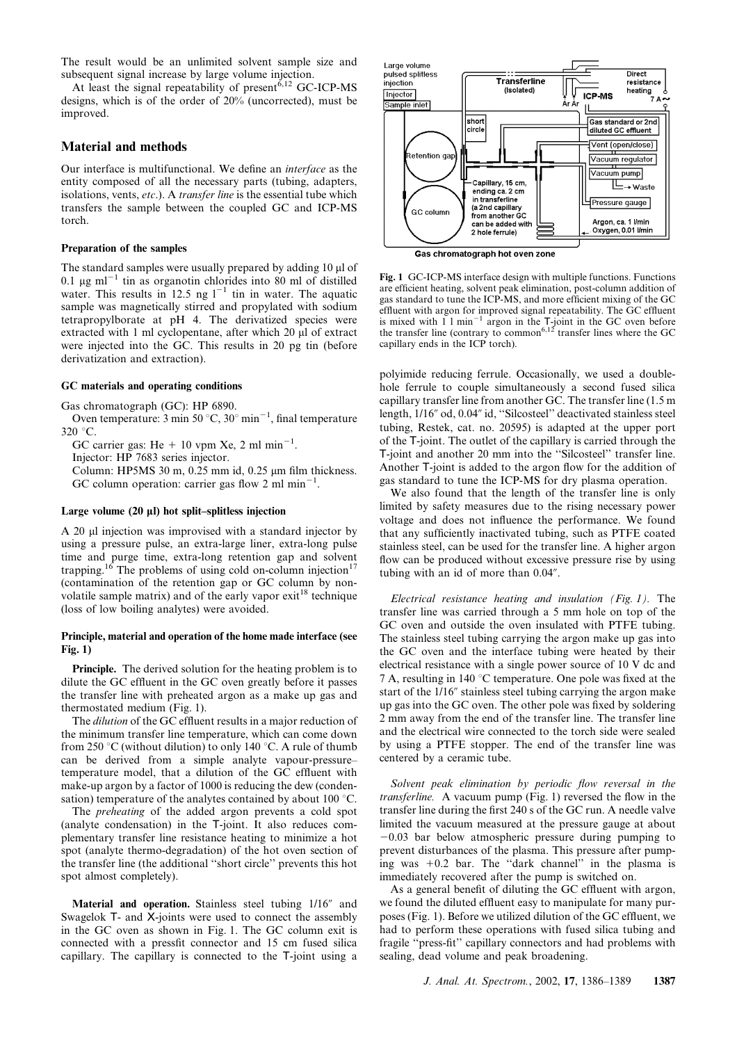The result would be an unlimited solvent sample size and subsequent signal increase by large volume injection.

At least the signal repeatability of present  $6,12$  GC-ICP-MS designs, which is of the order of 20% (uncorrected), must be improved.

# Material and methods

Our interface is multifunctional. We define an interface as the entity composed of all the necessary parts (tubing, adapters, isolations, vents, etc.). A transfer line is the essential tube which transfers the sample between the coupled GC and ICP-MS torch.

#### Preparation of the samples

The standard samples were usually prepared by adding  $10 \mu$  of 0.1  $\mu$ g ml<sup>-1</sup> tin as organotin chlorides into 80 ml of distilled water. This results in 12.5 ng  $1^{-1}$  tin in water. The aquatic sample was magnetically stirred and propylated with sodium tetrapropylborate at pH 4. The derivatized species were extracted with  $1 \text{ ml}$  cyclopentane, after which  $20 \text{ µl}$  of extract were injected into the GC. This results in 20 pg tin (before derivatization and extraction).

## GC materials and operating conditions

Gas chromatograph (GC): HP 6890.

Oven temperature:  $3 \text{ min } 50^{\circ} \text{C}$ ,  $30^{\circ} \text{ min}^{-1}$ , final temperature  $320 °C$ .

GC carrier gas: He + 10 vpm Xe, 2 ml min<sup>-1</sup>.

Injector: HP 7683 series injector.

Column: HP5MS 30 m,  $0.25$  mm id,  $0.25$  µm film thickness. GC column operation: carrier gas flow 2 ml  $min^{-1}$ .

# Large volume (20 µl) hot split–splitless injection

A 20 µl injection was improvised with a standard injector by using a pressure pulse, an extra-large liner, extra-long pulse time and purge time, extra-long retention gap and solvent trapping.<sup>16</sup> The problems of using cold on-column injection<sup>17</sup> (contamination of the retention gap or GC column by nonvolatile sample matrix) and of the early vapor  $exit^{18}$  technique (loss of low boiling analytes) were avoided.

# Principle, material and operation of the home made interface (see Fig. 1)

Principle. The derived solution for the heating problem is to dilute the GC effluent in the GC oven greatly before it passes the transfer line with preheated argon as a make up gas and thermostated medium (Fig. 1).

The dilution of the GC effluent results in a major reduction of the minimum transfer line temperature, which can come down from 250 °C (without dilution) to only 140 °C. A rule of thumb can be derived from a simple analyte vapour-pressure– temperature model, that a dilution of the GC effluent with make-up argon by a factor of 1000 is reducing the dew (condensation) temperature of the analytes contained by about 100  $^{\circ}$ C.

The preheating of the added argon prevents a cold spot (analyte condensation) in the T-joint. It also reduces complementary transfer line resistance heating to minimize a hot spot (analyte thermo-degradation) of the hot oven section of the transfer line (the additional ''short circle'' prevents this hot spot almost completely).

Material and operation. Stainless steel tubing 1/16" and Swagelok T- and X-joints were used to connect the assembly in the GC oven as shown in Fig. 1. The GC column exit is connected with a pressfit connector and 15 cm fused silica capillary. The capillary is connected to the T-joint using a



Fig. 1 GC-ICP-MS interface design with multiple functions. Functions are efficient heating, solvent peak elimination, post-column addition of gas standard to tune the ICP-MS, and more efficient mixing of the GC effluent with argon for improved signal repeatability. The GC effluent is mixed with  $1 \text{ I min}^{-1}$  argon in the T-joint in the GC oven before the transfer line (contrary to common<sup>6,12</sup> transfer lines where the GC capillary ends in the ICP torch).

polyimide reducing ferrule. Occasionally, we used a doublehole ferrule to couple simultaneously a second fused silica capillary transfer line from another GC. The transfer line (1.5 m length,  $1/16''$  od,  $0.04''$  id, "Silcosteel" deactivated stainless steel tubing, Restek, cat. no. 20595) is adapted at the upper port of the T-joint. The outlet of the capillary is carried through the T-joint and another 20 mm into the ''Silcosteel'' transfer line. Another T-joint is added to the argon flow for the addition of gas standard to tune the ICP-MS for dry plasma operation.

We also found that the length of the transfer line is only limited by safety measures due to the rising necessary power voltage and does not influence the performance. We found that any sufficiently inactivated tubing, such as PTFE coated stainless steel, can be used for the transfer line. A higher argon flow can be produced without excessive pressure rise by using tubing with an id of more than  $0.04$ .

Electrical resistance heating and insulation (Fig. 1). The transfer line was carried through a 5 mm hole on top of the GC oven and outside the oven insulated with PTFE tubing. The stainless steel tubing carrying the argon make up gas into the GC oven and the interface tubing were heated by their electrical resistance with a single power source of 10 V dc and 7 A, resulting in 140  $\degree$ C temperature. One pole was fixed at the start of the 1/16" stainless steel tubing carrying the argon make up gas into the GC oven. The other pole was fixed by soldering 2 mm away from the end of the transfer line. The transfer line and the electrical wire connected to the torch side were sealed by using a PTFE stopper. The end of the transfer line was centered by a ceramic tube.

Solvent peak elimination by periodic flow reversal in the transferline. A vacuum pump (Fig. 1) reversed the flow in the transfer line during the first 240 s of the GC run. A needle valve limited the vacuum measured at the pressure gauge at about  $-0.03$  bar below atmospheric pressure during pumping to prevent disturbances of the plasma. This pressure after pumping was  $+0.2$  bar. The "dark channel" in the plasma is immediately recovered after the pump is switched on.

As a general benefit of diluting the GC effluent with argon, we found the diluted effluent easy to manipulate for many purposes (Fig. 1). Before we utilized dilution of the GC effluent, we had to perform these operations with fused silica tubing and fragile ''press-fit'' capillary connectors and had problems with sealing, dead volume and peak broadening.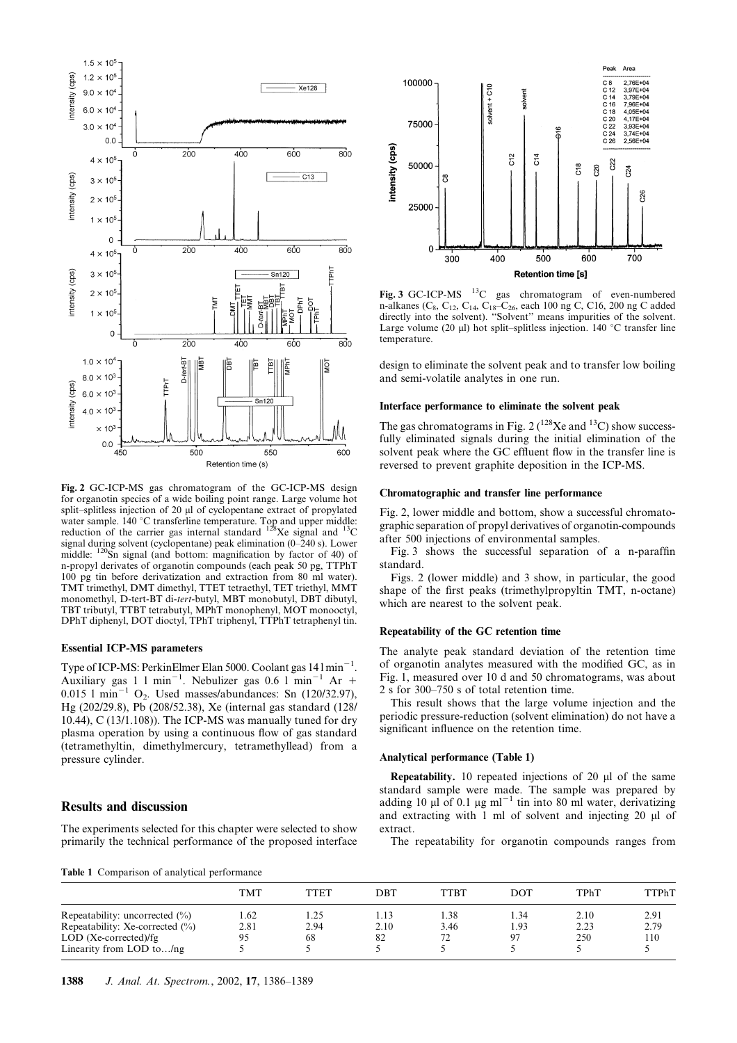

Fig. 2 GC-ICP-MS gas chromatogram of the GC-ICP-MS design for organotin species of a wide boiling point range. Large volume hot split-splitless injection of 20 µl of cyclopentane extract of propylated water sample. 140 °C transferline temperature. Top and upper middle:<br>reduction of the carrier gas internal standard  $^{128}Xe$  signal and  $^{13}C$ signal during solvent (cyclopentane) peak elimination (0–240 s). Lower middle: <sup>120</sup>Sn signal (and bottom: magnification by factor of 40) of n-propyl derivates of organotin compounds (each peak 50 pg, TTPhT 100 pg tin before derivatization and extraction from 80 ml water). TMT trimethyl, DMT dimethyl, TTET tetraethyl, TET triethyl, MMT monomethyl, D-tert-BT di-tert-butyl, MBT monobutyl, DBT dibutyl, TBT tributyl, TTBT tetrabutyl, MPhT monophenyl, MOT monooctyl, DPhT diphenyl, DOT dioctyl, TPhT triphenyl, TTPhT tetraphenyl tin.

# Essential ICP-MS parameters

Type of ICP-MS: PerkinElmer Elan 5000. Coolant gas 141 min<sup>-1</sup>. Auxiliary gas  $1 \text{ 1 min}^{-1}$ . Nebulizer gas 0.6  $1 \text{ min}^{-1}$  Ar +  $0.015$  l min<sup>-1</sup> O<sub>2</sub>. Used masses/abundances: Sn (120/32.97), Hg (202/29.8), Pb (208/52.38), Xe (internal gas standard (128/ 10.44), C (13/1.108)). The ICP-MS was manually tuned for dry plasma operation by using a continuous flow of gas standard (tetramethyltin, dimethylmercury, tetramethyllead) from a pressure cylinder.

# Results and discussion

The experiments selected for this chapter were selected to show primarily the technical performance of the proposed interface

Pook Ares 100000 C 8<br>C 12<br>C 14<br>C 16<br>C 20<br>C 22<br>C 24<br>C 26 2.76F+04 2,76E+04<br>3,97E+04<br>3,79E+04<br>7,96E+04<br>4,05E+04<br>4,17E+04<br>3,93E+04<br>3,74E+04  $solvent + C10$ solvent 75000  $3.74F + 04$  $2.56F + 04$ intensity (cps)  $5<sup>2</sup>$  $\frac{4}{5}$  $C22$ 50000 C<sub>18</sub>  $\tilde{2}$  $34$ පි  $C26$ 25000  $\mathbf c$ 600 700 300  $400$ 500 **Retention time [s]** 

Fig. 3 GC-ICP-MS 13C gas chromatogram of even-numbered n-alkanes (C<sub>8</sub>, C<sub>12</sub>, C<sub>14</sub>, C<sub>18</sub>–C<sub>26</sub>, each 100 ng C, C16, 200 ng C added directly into the solvent). ''Solvent'' means impurities of the solvent. Large volume (20  $\mu$ ) hot split–splitless injection. 140 °C transfer line temperature.

design to eliminate the solvent peak and to transfer low boiling and semi-volatile analytes in one run.

# Interface performance to eliminate the solvent peak

The gas chromatograms in Fig. 2 ( $^{128}$ Xe and  $^{13}$ C) show successfully eliminated signals during the initial elimination of the solvent peak where the GC effluent flow in the transfer line is reversed to prevent graphite deposition in the ICP-MS.

# Chromatographic and transfer line performance

Fig. 2, lower middle and bottom, show a successful chromatographic separation of propyl derivatives of organotin-compounds after 500 injections of environmental samples.

Fig. 3 shows the successful separation of a n-paraffin standard.

Figs. 2 (lower middle) and 3 show, in particular, the good shape of the first peaks (trimethylpropyltin TMT, n-octane) which are nearest to the solvent peak.

### Repeatability of the GC retention time

The analyte peak standard deviation of the retention time of organotin analytes measured with the modified GC, as in Fig. 1, measured over 10 d and 50 chromatograms, was about 2 s for 300–750 s of total retention time.

This result shows that the large volume injection and the periodic pressure-reduction (solvent elimination) do not have a significant influence on the retention time.

#### Analytical performance (Table 1)

Repeatability. 10 repeated injections of 20  $\mu$ l of the same standard sample were made. The sample was prepared by adding 10  $\mu$ l of 0.1  $\mu$ g ml<sup>-1</sup> tin into 80 ml water, derivatizing and extracting with  $1 \text{ ml}$  of solvent and injecting  $20 \text{ µl}$  of extract.

The repeatability for organotin compounds ranges from

Table 1 Comparison of analytical performance

|                                    | TMT  | TTET | DBT  | TTBT | <b>DOT</b> | TPhT | <b>TTPhT</b> |
|------------------------------------|------|------|------|------|------------|------|--------------|
| Repeatability: uncorrected $(\%)$  | 1.62 | 1.25 | . 13 | .38  | l.34       | 2.10 | 2.91         |
| Repeatability: Xe-corrected $(\%)$ | 2.81 | 2.94 | 2.10 | 3.46 | 1.93       | 2.23 | 2.79         |
| $LOD$ (Xe-corrected)/fg            | 95   | 68   | 82   |      |            | 250  | 110          |
| Linearity from LOD to $/ng$        |      |      |      |      |            |      |              |